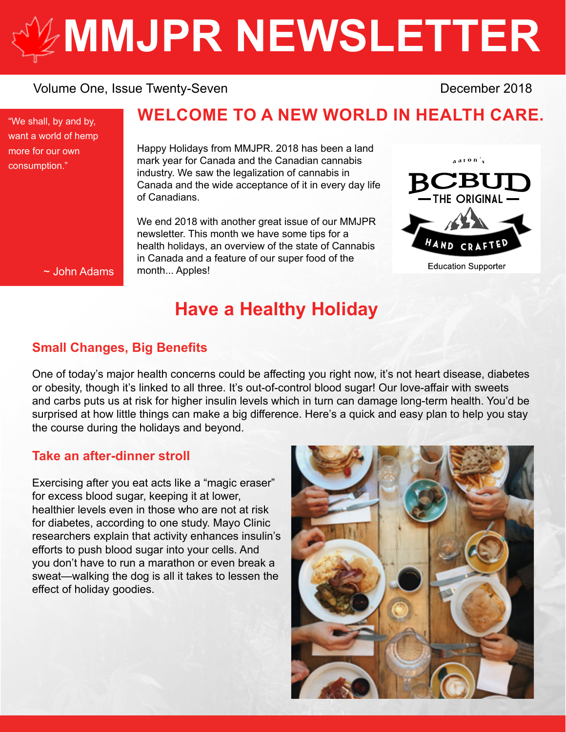# **[MMJPR NEWSLETTER](http://mmjpr.ca)**

#### Volume One, Issue Twenty-Seven **December 2018**

"We shall, by and by, want a world of hemp more for our own consumption."

### **WELCOME TO A NEW WORLD IN HEALTH CARE.**

Happy Holidays from MMJPR. 2018 has been a land mark year for Canada and the Canadian cannabis industry. We saw the legalization of cannabis in Canada and the wide acceptance of it in every day life of Canadians.

We end 2018 with another great issue of our MMJPR newsletter. This month we have some tips for a health holidays, an overview of the state of Cannabis in Canada and a feature of our super food of the month... Apples!



~ John Adams

## **Have a Healthy Holiday**

#### **Small Changes, Big Benefits**

One of today's major health concerns could be affecting you right now, it's not heart disease, diabetes or obesity, though it's linked to all three. It's out-of-control blood sugar! Our love-affair with sweets and carbs puts us at risk for higher insulin levels which in turn can damage long-term health. You'd be surprised at how little things can make a big difference. Here's a quick and easy plan to help you stay the course during the holidays and beyond.

#### **Take an after-dinner stroll**

Exercising after you eat acts like a "magic eraser" for excess blood sugar, keeping it at lower, healthier levels even in those who are not at risk for diabetes, according to one study. Mayo Clinic researchers explain that activity enhances insulin's efforts to push blood sugar into your cells. And you don't have to run a marathon or even break a sweat—walking the dog is all it takes to lessen the effect of holiday goodies.

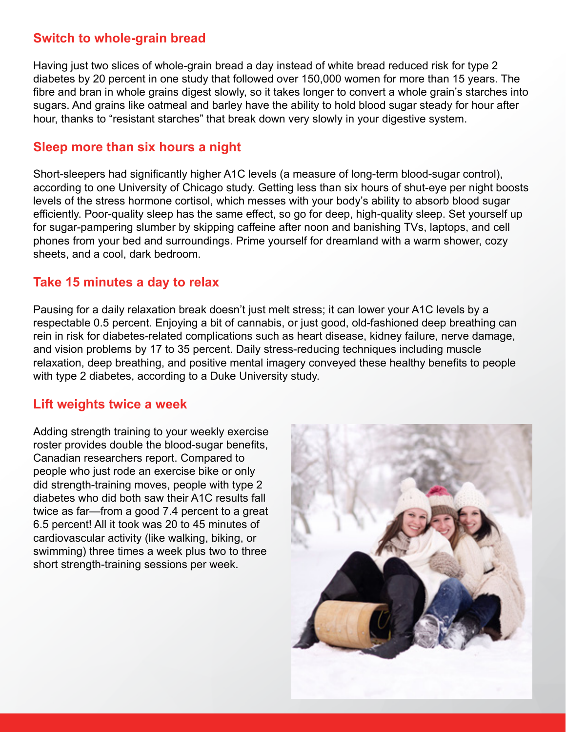#### **Switch to whole-grain bread**

Having just two slices of whole-grain bread a day instead of white bread reduced risk for type 2 diabetes by 20 percent in one study that followed over 150,000 women for more than 15 years. The fibre and bran in whole grains digest slowly, so it takes longer to convert a whole grain's starches into sugars. And grains like oatmeal and barley have the ability to hold blood sugar steady for hour after hour, thanks to "resistant starches" that break down very slowly in your digestive system.

#### **Sleep more than six hours a night**

Short-sleepers had significantly higher A1C levels (a measure of long-term blood-sugar control), according to one University of Chicago study. Getting less than six hours of shut-eye per night boosts levels of the stress hormone cortisol, which messes with your body's ability to absorb blood sugar efficiently. Poor-quality sleep has the same effect, so go for deep, high-quality sleep. Set yourself up for sugar-pampering slumber by skipping caffeine after noon and banishing TVs, laptops, and cell phones from your bed and surroundings. Prime yourself for dreamland with a warm shower, cozy sheets, and a cool, dark bedroom.

#### **Take 15 minutes a day to relax**

Pausing for a daily relaxation break doesn't just melt stress; it can lower your A1C levels by a respectable 0.5 percent. Enjoying a bit of cannabis, or just good, old-fashioned deep breathing can rein in risk for diabetes-related complications such as heart disease, kidney failure, nerve damage, and vision problems by 17 to 35 percent. Daily stress-reducing techniques including muscle relaxation, deep breathing, and positive mental imagery conveyed these healthy benefits to people with type 2 diabetes, according to a Duke University study.

#### **Lift weights twice a week**

Adding strength training to your weekly exercise roster provides double the blood-sugar benefits, Canadian researchers report. Compared to people who just rode an exercise bike or only did strength-training moves, people with type 2 diabetes who did both saw their A1C results fall twice as far—from a good 7.4 percent to a great 6.5 percent! All it took was 20 to 45 minutes of cardiovascular activity (like walking, biking, or swimming) three times a week plus two to three short strength-training sessions per week.

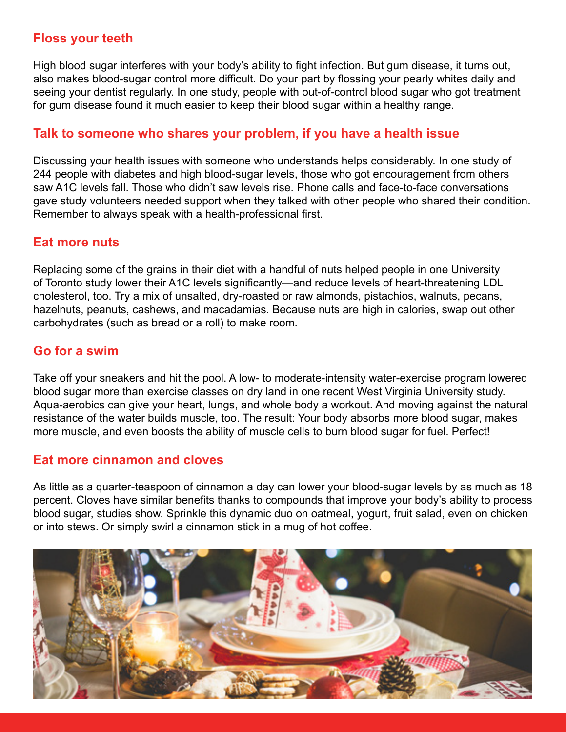#### **Floss your teeth**

High blood sugar interferes with your body's ability to fight infection. But gum disease, it turns out, also makes blood-sugar control more difficult. Do your part by flossing your pearly whites daily and seeing your dentist regularly. In one study, people with out-of-control blood sugar who got treatment for gum disease found it much easier to keep their blood sugar within a healthy range.

#### **Talk to someone who shares your problem, if you have a health issue**

Discussing your health issues with someone who understands helps considerably. In one study of 244 people with diabetes and high blood-sugar levels, those who got encouragement from others saw A1C levels fall. Those who didn't saw levels rise. Phone calls and face-to-face conversations gave study volunteers needed support when they talked with other people who shared their condition. Remember to always speak with a health-professional first.

#### **Eat more nuts**

Replacing some of the grains in their diet with a handful of nuts helped people in one University of Toronto study lower their A1C levels significantly—and reduce levels of heart-threatening LDL cholesterol, too. Try a mix of unsalted, dry-roasted or raw almonds, pistachios, walnuts, pecans, hazelnuts, peanuts, cashews, and macadamias. Because nuts are high in calories, swap out other carbohydrates (such as bread or a roll) to make room.

#### **Go for a swim**

Take off your sneakers and hit the pool. A low- to moderate-intensity water-exercise program lowered blood sugar more than exercise classes on dry land in one recent West Virginia University study. Aqua-aerobics can give your heart, lungs, and whole body a workout. And moving against the natural resistance of the water builds muscle, too. The result: Your body absorbs more blood sugar, makes more muscle, and even boosts the ability of muscle cells to burn blood sugar for fuel. Perfect!

#### **Eat more cinnamon and cloves**

As little as a quarter-teaspoon of cinnamon a day can lower your blood-sugar levels by as much as 18 percent. Cloves have similar benefits thanks to compounds that improve your body's ability to process blood sugar, studies show. Sprinkle this dynamic duo on oatmeal, yogurt, fruit salad, even on chicken or into stews. Or simply swirl a cinnamon stick in a mug of hot coffee.

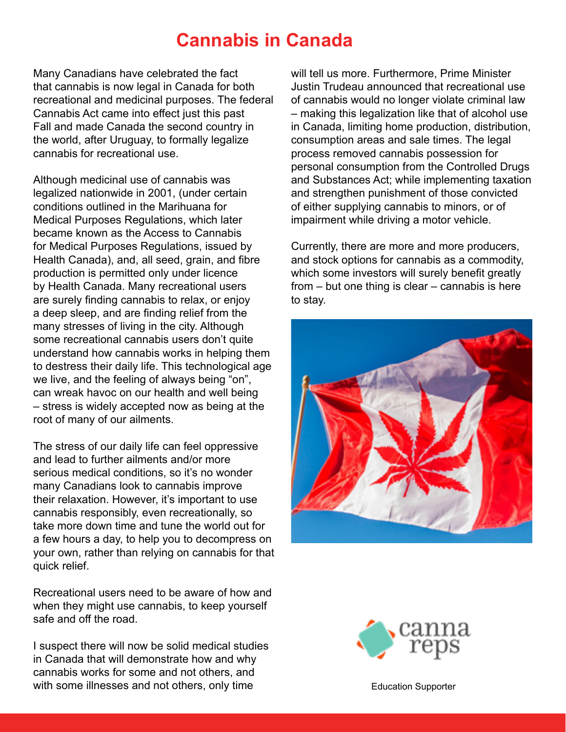## **Cannabis in Canada**

Many Canadians have celebrated the fact that cannabis is now legal in Canada for both recreational and medicinal purposes. The federal Cannabis Act came into effect just this past Fall and made Canada the second country in the world, after Uruguay, to formally legalize cannabis for recreational use.

Although medicinal use of cannabis was legalized nationwide in 2001, (under certain conditions outlined in the Marihuana for Medical Purposes Regulations, which later became known as the Access to Cannabis for Medical Purposes Regulations, issued by Health Canada), and, all seed, grain, and fibre production is permitted only under licence by Health Canada. Many recreational users are surely finding cannabis to relax, or enjoy a deep sleep, and are finding relief from the many stresses of living in the city. Although some recreational cannabis users don't quite understand how cannabis works in helping them to destress their daily life. This technological age we live, and the feeling of always being "on", can wreak havoc on our health and well being – stress is widely accepted now as being at the root of many of our ailments.

The stress of our daily life can feel oppressive and lead to further ailments and/or more serious medical conditions, so it's no wonder many Canadians look to cannabis improve their relaxation. However, it's important to use cannabis responsibly, even recreationally, so take more down time and tune the world out for a few hours a day, to help you to decompress on your own, rather than relying on cannabis for that quick relief.

Recreational users need to be aware of how and when they might use cannabis, to keep yourself safe and off the road.

I suspect there will now be solid medical studies in Canada that will demonstrate how and why cannabis works for some and not others, and with some illnesses and not others, only time

will tell us more. Furthermore, Prime Minister Justin Trudeau announced that recreational use of cannabis would no longer violate criminal law – making this legalization like that of alcohol use in Canada, limiting home production, distribution, consumption areas and sale times. The legal process removed cannabis possession for personal consumption from the Controlled Drugs and Substances Act; while implementing taxation and strengthen punishment of those convicted of either supplying cannabis to minors, or of impairment while driving a motor vehicle.

Currently, there are more and more producers, and stock options for cannabis as a commodity, which some investors will surely benefit greatly from  $-$  but one thing is clear  $-$  cannabis is here to stay.





[Education Supporter](https://cannareps.ca)